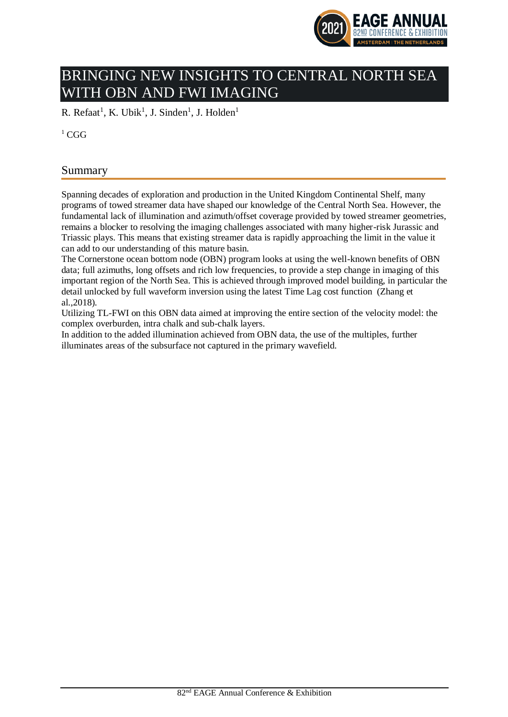

# BRINGING NEW INSIGHTS TO CENTRAL NORTH SEA WITH OBN AND FWI IMAGING

R. Refaat<sup>1</sup>, K. Ubik<sup>1</sup>, J. Sinden<sup>1</sup>, J. Holden<sup>1</sup>

 ${}^{1}$  CGG

# Summary

Spanning decades of exploration and production in the United Kingdom Continental Shelf, many programs of towed streamer data have shaped our knowledge of the Central North Sea. However, the fundamental lack of illumination and azimuth/offset coverage provided by towed streamer geometries, remains a blocker to resolving the imaging challenges associated with many higher-risk Jurassic and Triassic plays. This means that existing streamer data is rapidly approaching the limit in the value it can add to our understanding of this mature basin.

The Cornerstone ocean bottom node (OBN) program looks at using the well-known benefits of OBN data; full azimuths, long offsets and rich low frequencies, to provide a step change in imaging of this important region of the North Sea. This is achieved through improved model building, in particular the detail unlocked by full waveform inversion using the latest Time Lag cost function (Zhang et al.,2018).

Utilizing TL-FWI on this OBN data aimed at improving the entire section of the velocity model: the complex overburden, intra chalk and sub-chalk layers.

In addition to the added illumination achieved from OBN data, the use of the multiples, further illuminates areas of the subsurface not captured in the primary wavefield.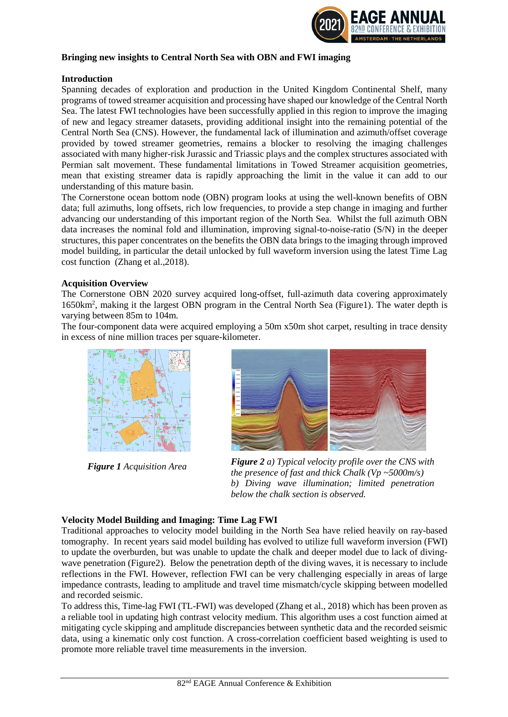

#### **Bringing new insights to Central North Sea with OBN and FWI imaging**

#### **Introduction**

Spanning decades of exploration and production in the United Kingdom Continental Shelf, many programs of towed streamer acquisition and processing have shaped our knowledge of the Central North Sea. The latest FWI technologies have been successfully applied in this region to improve the imaging of new and legacy streamer datasets, providing additional insight into the remaining potential of the Central North Sea (CNS). However, the fundamental lack of illumination and azimuth/offset coverage provided by towed streamer geometries, remains a blocker to resolving the imaging challenges associated with many higher-risk Jurassic and Triassic plays and the complex structures associated with Permian salt movement. These fundamental limitations in Towed Streamer acquisition geometries, mean that existing streamer data is rapidly approaching the limit in the value it can add to our understanding of this mature basin.

The Cornerstone ocean bottom node (OBN) program looks at using the well-known benefits of OBN data; full azimuths, long offsets, rich low frequencies, to provide a step change in imaging and further advancing our understanding of this important region of the North Sea. Whilst the full azimuth OBN data increases the nominal fold and illumination, improving signal-to-noise-ratio (S/N) in the deeper structures, this paper concentrates on the benefits the OBN data brings to the imaging through improved model building, in particular the detail unlocked by full waveform inversion using the latest Time Lag cost function (Zhang et al.,2018).

#### **Acquisition Overview**

The Cornerstone OBN 2020 survey acquired long-offset, full-azimuth data covering approximately 1650km<sup>2</sup> , making it the largest OBN program in the Central North Sea (Figure1). The water depth is varying between 85m to 104m.

The four-component data were acquired employing a 50m x50m shot carpet, resulting in trace density in excess of nine million traces per square-kilometer.



*Figure 1 Acquisition Area* 



*Figure 2 a) Typical velocity profile over the CNS with the presence of fast and thick Chalk (Vp ~5000m/s) b) Diving wave illumination; limited penetration below the chalk section is observed.*

#### **Velocity Model Building and Imaging: Time Lag FWI**

Traditional approaches to velocity model building in the North Sea have relied heavily on ray-based tomography. In recent years said model building has evolved to utilize full waveform inversion (FWI) to update the overburden, but was unable to update the chalk and deeper model due to lack of divingwave penetration (Figure2). Below the penetration depth of the diving waves, it is necessary to include reflections in the FWI. However, reflection FWI can be very challenging especially in areas of large impedance contrasts, leading to amplitude and travel time mismatch/cycle skipping between modelled and recorded seismic.

To address this, Time-lag FWI (TL-FWI) was developed (Zhang et al., 2018) which has been proven as a reliable tool in updating high contrast velocity medium. This algorithm uses a cost function aimed at mitigating cycle skipping and amplitude discrepancies between synthetic data and the recorded seismic data, using a kinematic only cost function. A cross-correlation coefficient based weighting is used to promote more reliable travel time measurements in the inversion.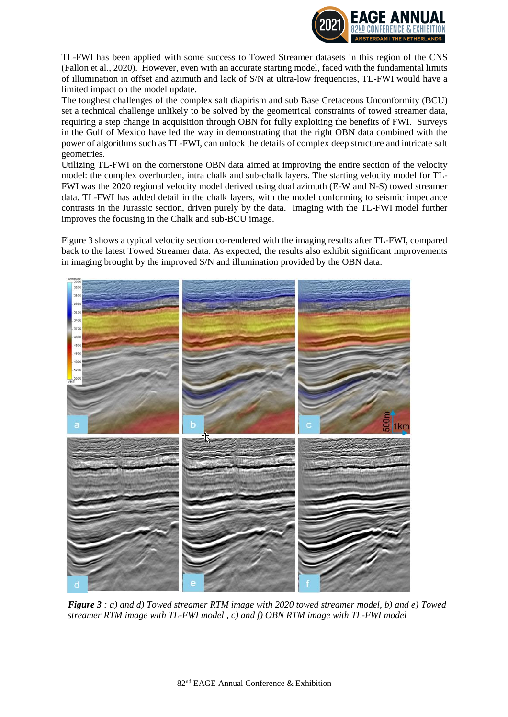

TL-FWI has been applied with some success to Towed Streamer datasets in this region of the CNS (Fallon et al., 2020). However, even with an accurate starting model, faced with the fundamental limits of illumination in offset and azimuth and lack of S/N at ultra-low frequencies, TL-FWI would have a limited impact on the model update.

The toughest challenges of the complex salt diapirism and sub Base Cretaceous Unconformity (BCU) set a technical challenge unlikely to be solved by the geometrical constraints of towed streamer data, requiring a step change in acquisition through OBN for fully exploiting the benefits of FWI. Surveys in the Gulf of Mexico have led the way in demonstrating that the right OBN data combined with the power of algorithms such as TL-FWI, can unlock the details of complex deep structure and intricate salt geometries.

Utilizing TL-FWI on the cornerstone OBN data aimed at improving the entire section of the velocity model: the complex overburden, intra chalk and sub-chalk layers. The starting velocity model for TL-FWI was the 2020 regional velocity model derived using dual azimuth (E-W and N-S) towed streamer data. TL-FWI has added detail in the chalk layers, with the model conforming to seismic impedance contrasts in the Jurassic section, driven purely by the data. Imaging with the TL-FWI model further improves the focusing in the Chalk and sub-BCU image.

Figure 3 shows a typical velocity section co-rendered with the imaging results after TL-FWI, compared back to the latest Towed Streamer data. As expected, the results also exhibit significant improvements in imaging brought by the improved S/N and illumination provided by the OBN data.



*Figure 3 : a) and d) Towed streamer RTM image with 2020 towed streamer model, b) and e) Towed streamer RTM image with TL-FWI model , c) and f) OBN RTM image with TL-FWI model*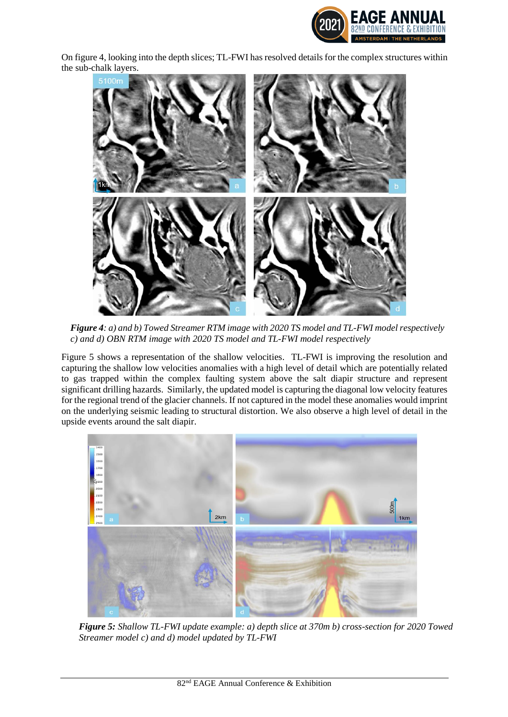

On figure 4, looking into the depth slices; TL-FWI has resolved details for the complex structures within the sub-chalk layers.



*Figure 4: a) and b) Towed Streamer RTM image with 2020 TS model and TL-FWI model respectively c) and d) OBN RTM image with 2020 TS model and TL-FWI model respectively*

Figure 5 shows a representation of the shallow velocities. TL-FWI is improving the resolution and capturing the shallow low velocities anomalies with a high level of detail which are potentially related to gas trapped within the complex faulting system above the salt diapir structure and represent significant drilling hazards. Similarly, the updated model is capturing the diagonal low velocity features for the regional trend of the glacier channels. If not captured in the model these anomalies would imprint on the underlying seismic leading to structural distortion. We also observe a high level of detail in the upside events around the salt diapir.



*Figure 5: Shallow TL-FWI update example: a) depth slice at 370m b) cross-section for 2020 Towed Streamer model c) and d) model updated by TL-FWI*